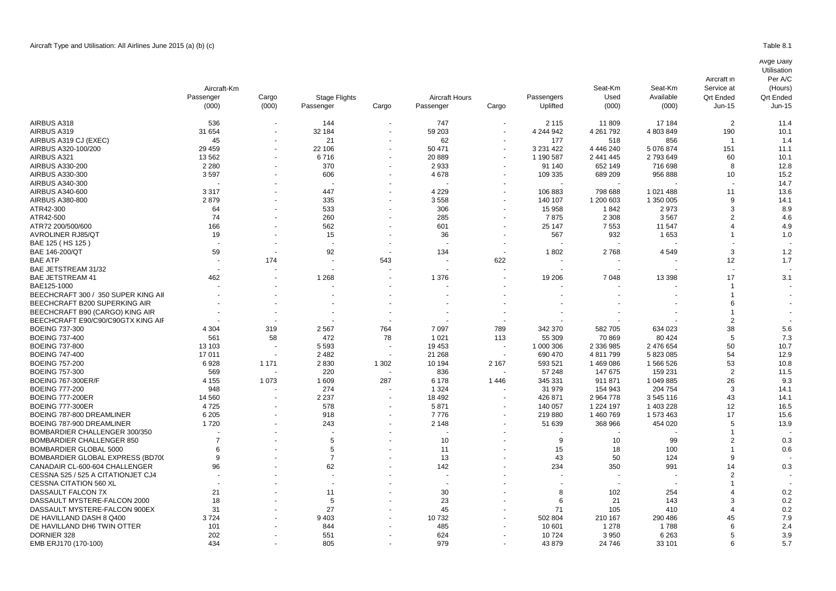|                                     | Aircraft-Km<br>Passenger<br>(000) | Cargo<br>(000) | <b>Stage Flights</b><br>Passenger | Cargo                    | <b>Aircraft Hours</b><br>Passenger | Cargo                    | Passengers<br>Uplifted | Seat-Km<br>Used<br>(000) | Seat-Km<br>Available<br>(000) | Aircraft in<br>Service at<br><b>Qrt Ended</b><br>$Jun-15$ | Per A/C<br>(Hours)<br><b>Qrt Ended</b><br>Jun-15 |
|-------------------------------------|-----------------------------------|----------------|-----------------------------------|--------------------------|------------------------------------|--------------------------|------------------------|--------------------------|-------------------------------|-----------------------------------------------------------|--------------------------------------------------|
|                                     |                                   |                |                                   |                          |                                    |                          |                        |                          |                               |                                                           |                                                  |
| AIRBUS A318                         | 536                               |                | 144                               | $\sim$                   | 747                                | $\overline{\phantom{a}}$ | 2 1 1 5                | 11 809                   | 17 184                        | 2                                                         | 11.4                                             |
| AIRBUS A319                         | 31 654                            |                | 32 184                            |                          | 59 203                             |                          | 4 244 942              | 4 2 61 7 92              | 4 803 849                     | 190                                                       | 10.1                                             |
| AIRBUS A319 CJ (EXEC)               | 45                                |                | 21                                |                          | 62                                 |                          | 177                    | 518                      | 856                           | - 1                                                       | 1.4                                              |
| AIRBUS A320-100/200                 | 29 4 59                           | $\overline{a}$ | 22 106                            | $\sim$                   | 50 471                             | $\overline{\phantom{a}}$ | 3 2 3 1 4 2 2          | 4 4 4 6 2 4 0            | 5 076 874                     | 151                                                       | 11.1                                             |
| AIRBUS A321                         | 13562                             |                | 6716                              | $\sim$                   | 20 889                             | $\overline{\phantom{a}}$ | 1 190 587              | 2 441 445                | 2 793 649                     | 60                                                        | 10.1                                             |
| AIRBUS A330-200                     | 2 2 8 0                           |                | 370                               | $\sim$                   | 2933                               | $\sim$                   | 91 140                 | 652 149                  | 716 698                       | 8                                                         | 12.8                                             |
| AIRBUS A330-300                     | 3597                              |                | 606                               |                          | 4678                               |                          | 109 335                | 689 209                  | 956 888                       | 10                                                        | 15.2                                             |
| AIRBUS A340-300                     |                                   |                |                                   |                          |                                    |                          |                        |                          |                               |                                                           | 14.7                                             |
| AIRBUS A340-600                     | 3317                              |                | 447                               |                          | 4 2 2 9                            |                          | 106883                 | 798 688                  | 1 0 2 1 4 8 8                 | 11                                                        | 13.6                                             |
| <b>AIRBUS A380-800</b>              | 2879                              |                | 335                               | $\overline{\phantom{0}}$ | 3558                               |                          | 140 107                | 1 200 603                | 1 350 005                     | 9                                                         | 14.1                                             |
| ATR42-300                           | 64                                |                | 533                               |                          | 306                                |                          | 15 958                 | 1842                     | 2973                          | 3                                                         | 8.9                                              |
| ATR42-500                           | 74                                |                | 260                               |                          | 285                                |                          | 7875                   | 2 3 0 8                  | 3567                          | 2                                                         | 4.6                                              |
| ATR72 200/500/600                   | 166                               |                | 562                               |                          | 601                                |                          | 25 147                 | 7553                     | 11 547                        |                                                           | 4.9                                              |
| <b>AVROLINER RJ85/QT</b>            | 19                                |                | 15                                |                          | 36                                 |                          | 567                    | 932                      | 1653                          |                                                           | 1.0                                              |
| BAE 125 (HS 125)                    |                                   |                |                                   |                          |                                    |                          |                        |                          |                               |                                                           |                                                  |
| BAE 146-200/QT                      | 59                                |                | 92                                | $\sim$                   | 134                                |                          | 1802                   | 2768                     | 4549                          | 3                                                         | 1.2                                              |
| <b>BAE ATP</b>                      |                                   | 174            |                                   | 543                      |                                    | 622                      |                        |                          |                               | 12                                                        | 1.7                                              |
| BAE JETSTREAM 31/32                 |                                   |                |                                   |                          |                                    |                          |                        |                          |                               |                                                           |                                                  |
| <b>BAE JETSTREAM 41</b>             | 462                               |                | 1 2 6 8                           |                          | 1 3 7 6                            |                          | 19 20 6                | 7048                     | 13 3 98                       | 17                                                        | 3.1                                              |
| BAE125-1000                         |                                   |                |                                   |                          |                                    |                          |                        |                          |                               |                                                           |                                                  |
| BEECHCRAFT 300 / 350 SUPER KING AII |                                   |                |                                   |                          |                                    |                          |                        |                          |                               |                                                           |                                                  |
| BEECHCRAFT B200 SUPERKING AIR       |                                   |                |                                   |                          |                                    |                          |                        |                          |                               |                                                           |                                                  |
| BEECHCRAFT B90 (CARGO) KING AIR     |                                   |                |                                   |                          |                                    |                          |                        |                          |                               |                                                           |                                                  |
| BEECHCRAFT E90/C90/C90GTX KING AIF  |                                   |                |                                   |                          |                                    |                          |                        |                          |                               | 2                                                         |                                                  |
| <b>BOEING 737-300</b>               | 4 3 0 4                           | 319            | 2 5 6 7                           | 764                      | 7 0 9 7                            | 789                      | 342 370                | 582 705                  | 634 023                       | 38                                                        | 5.6                                              |
| <b>BOEING 737-400</b>               | 561                               | 58             | 472                               | 78                       | 1 0 2 1                            | 113                      | 55 309                 | 70 869                   | 80 4 24                       | 5                                                         | 7.3                                              |
| <b>BOEING 737-800</b>               | 13 103                            |                | 5 5 9 3                           |                          | 19 453                             |                          | 1 000 306              | 2 336 985                | 2 476 654                     | 50                                                        | 10.7                                             |
| <b>BOEING 747-400</b>               | 17011                             |                | 2482                              | $\overline{\phantom{a}}$ | 21 268                             |                          | 690 470                | 4811799                  | 5 823 085                     | 54                                                        | 12.9                                             |
| <b>BOEING 757-200</b>               | 6928                              | 1 1 7 1        | 2830                              | 1 3 0 2                  | 10 194                             | 2 1 6 7                  | 593 521                | 1469086                  | 1 566 526                     | 53                                                        | 10.8                                             |
| <b>BOEING 757-300</b>               | 569                               |                | 220                               | $\sim$                   | 836                                |                          | 57 248                 | 147 675                  | 159 231                       | $\overline{2}$                                            | 11.5                                             |
| <b>BOEING 767-300ER/F</b>           | 4 1 5 5                           | 1 0 7 3        | 1 609                             | 287                      | 6 1 7 8                            | 1446                     | 345 331                | 911871                   | 1 049 885                     | 26                                                        | 9.3                                              |
| <b>BOEING 777-200</b>               | 948                               |                | 274                               |                          | 1 3 2 4                            |                          | 31 979                 | 154 943                  | 204 754                       | 3                                                         | 14.1                                             |
| <b>BOEING 777-200ER</b>             | 14 560                            |                | 2 2 3 7                           | $\sim$                   | 18 4 9 2                           |                          | 426 871                | 2 9 64 7 78              | 3 545 116                     | 43                                                        | 14.1                                             |
| <b>BOEING 777-300ER</b>             | 4725                              |                | 578                               | $\sim$                   | 5871                               | $\overline{\phantom{a}}$ | 140 057                | 1 2 2 4 1 9 7            | 1 403 228                     | 12                                                        | 16.5                                             |
| BOEING 787-800 DREAMLINER           | 6 2 0 5                           |                | 918                               |                          | 7776                               |                          | 219 880                | 1460769                  | 1 573 463                     | 17                                                        | 15.6                                             |
| BOEING 787-900 DREAMLINER           | 1720                              |                | 243                               |                          | 2 1 4 8                            |                          | 51 639                 | 368 966                  | 454 020                       |                                                           | 13.9                                             |
| BOMBARDIER CHALLENGER 300/350       |                                   |                |                                   |                          |                                    |                          |                        |                          |                               |                                                           |                                                  |
| <b>BOMBARDIER CHALLENGER 850</b>    |                                   |                | 5                                 |                          | 10                                 |                          | q                      | 10                       | 99                            |                                                           | 0.3                                              |

BOMBARDIER CHALLENGER 850 7 - 5 - 10 - 9 10 99 2 0.3 BOMBARDIER GLOBAL 5000 6 - 5 - 11 - 15 18 100 1 0.6 BOMBARDIER GLOBAL EXPRESS (BD700 EXEC) 9 - 7 - 13 - 43 50 124 9 - CANADAIR CL-600-604 CHALLENGER 96 - 62 142 14 2 234 350 991 14 0.3 CESSNA 525 / 525 A CITATIONJET CJ4 and the contract of the contract of the contract of the contract of the contract of the contract of the contract of the contract of the contract of the contract of the contract of the con CESSNA CITATION 560 XL - - - - - - - - - 1 - DASSAULT FALCON 7X 21 - 11 - 30 - 8 102 254 4 0.2 DASSAULT MYSTERE-FALCON 2000 18 - 5 - 23 - 6 21 143 3 0.2

DE HAVILLAND DASH 8 Q400 3 724 - 9 403 - 10 732 - 502 804 210 167 290 486 45 7.9 DE HAVILLAND DH6 TWIN OTTER 101 - 844 - 485 - 10 601 1 278 1 788 6 2.4 DORNIER 328 202 - 551 - 624 - 10 724 3 950 6 263 5 3.9 EMB ERJ170 (170-100) 434 - 805 - 979 24 746 33 101 6 5.7

DASSAULT MYSTERE-FALCON 900EX 31 - 27 - 45 - 71 105 410 4 0.2

Avge Daily Utilisation